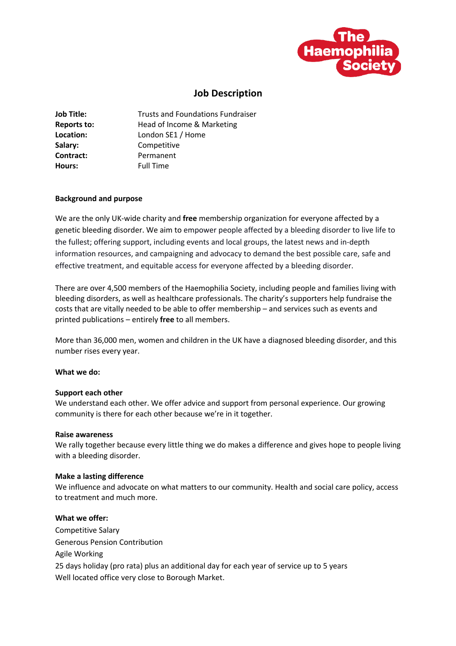

# **Job Description**

| <b>Job Title:</b> | <b>Trusts and Foundations Fundraiser</b> |
|-------------------|------------------------------------------|
| Reports to:       | Head of Income & Marketing               |
| Location:         | London SE1 / Home                        |
| Salary:           | Competitive                              |
| Contract:         | Permanent                                |
| Hours:            | <b>Full Time</b>                         |

## **Background and purpose**

We are the only UK-wide charity and **free** membership organization for everyone affected by a genetic bleeding disorder. We aim to empower people affected by a bleeding disorder to live life to the fullest; offering support, including events and local groups, the latest news and in-depth information resources, and campaigning and advocacy to demand the best possible care, safe and effective treatment, and equitable access for everyone affected by a bleeding disorder.

There are over 4,500 members of the Haemophilia Society, including people and families living with bleeding disorders, as well as healthcare professionals. The charity's supporters help fundraise the costs that are vitally needed to be able to offer membership – and services such as events and printed publications – entirely **free** to all members.

More than 36,000 men, women and children in the UK have a diagnosed bleeding disorder, and this number rises every year.

## **What we do:**

## **Support each other**

We understand each other. We offer advice and support from personal experience. Our growing community is there for each other because we're in it together.

## **Raise awareness**

We rally together because every little thing we do makes a difference and gives hope to people living with a bleeding disorder.

## **Make a lasting difference**

We influence and advocate on what matters to our community. Health and social care policy, access to treatment and much more.

# **What we offer:**

Competitive Salary Generous Pension Contribution Agile Working 25 days holiday (pro rata) plus an additional day for each year of service up to 5 years Well located office very close to Borough Market.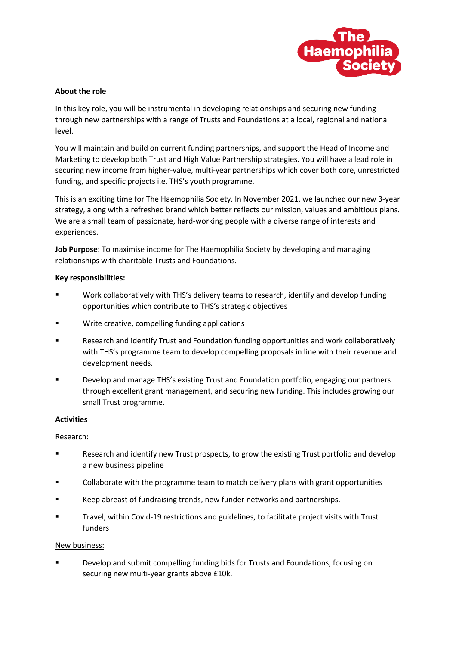

# **About the role**

In this key role, you will be instrumental in developing relationships and securing new funding through new partnerships with a range of Trusts and Foundations at a local, regional and national level.

You will maintain and build on current funding partnerships, and support the Head of Income and Marketing to develop both Trust and High Value Partnership strategies. You will have a lead role in securing new income from higher-value, multi-year partnerships which cover both core, unrestricted funding, and specific projects i.e. THS's youth programme.

This is an exciting time for The Haemophilia Society. In November 2021, we launched our new 3-year strategy, along with a refreshed brand which better reflects our mission, values and ambitious plans. We are a small team of passionate, hard-working people with a diverse range of interests and experiences.

**Job Purpose**: To maximise income for The Haemophilia Society by developing and managing relationships with charitable Trusts and Foundations.

## **Key responsibilities:**

- § Work collaboratively with THS's delivery teams to research, identify and develop funding opportunities which contribute to THS's strategic objectives
- Write creative, compelling funding applications
- § Research and identify Trust and Foundation funding opportunities and work collaboratively with THS's programme team to develop compelling proposals in line with their revenue and development needs.
- § Develop and manage THS's existing Trust and Foundation portfolio, engaging our partners through excellent grant management, and securing new funding. This includes growing our small Trust programme.

## **Activities**

# Research:

- **■** Research and identify new Trust prospects, to grow the existing Trust portfolio and develop a new business pipeline
- **•** Collaborate with the programme team to match delivery plans with grant opportunities
- Keep abreast of fundraising trends, new funder networks and partnerships.
- § Travel, within Covid-19 restrictions and guidelines, to facilitate project visits with Trust funders

# New business:

Develop and submit compelling funding bids for Trusts and Foundations, focusing on securing new multi-year grants above £10k.